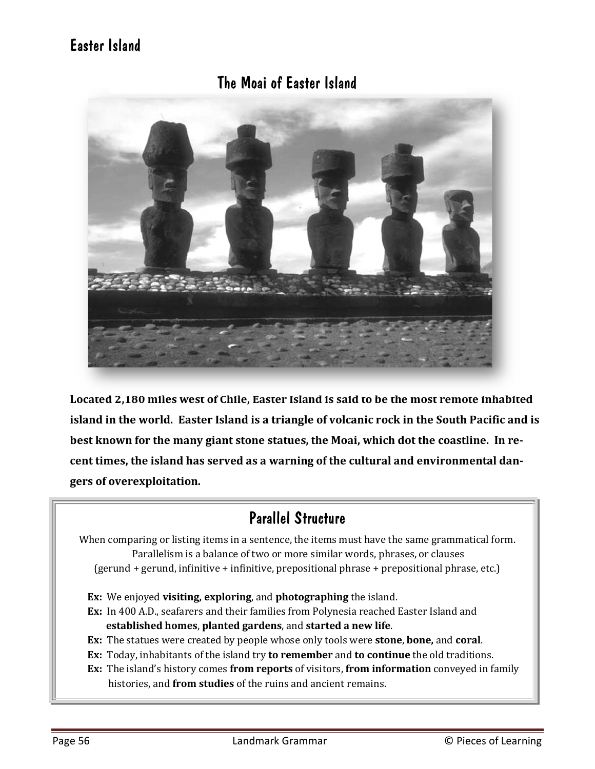# Easter Island

### The Moai of Easter Island



**Located 2,180 miles west of Chile, Easter Island is said to be the most remote inhabited island in the world. Easter Island is a triangle of volcanic rock in the South Pacific and is best known for the many giant stone statues, the Moai, which dot the coastline. In recent times, the island has served as a warning of the cultural and environmental dangers of overexploitation.** 

## Parallel Structure

When comparing or listing items in a sentence, the items must have the same grammatical form. Parallelism is a balance of two or more similar words, phrases, or clauses (gerund + gerund, infinitive + infinitive, prepositional phrase + prepositional phrase, etc.)

- **Ex:** We enjoyed **visiting, exploring**, and **photographing** the island.
- **Ex:** In 400 A.D., seafarers and their families from Polynesia reached Easter Island and  **established homes**, **planted gardens**, and **started a new life**.
- **Ex:** The statues were created by people whose only tools were **stone**, **bone,** and **coral**.
- **Ex:** Today, inhabitants of the island try **to remember** and **to continue** the old traditions.
- **Ex:** The island's history comes **from reports** of visitors, **from information** conveyed in family histories, and **from studies** of the ruins and ancient remains.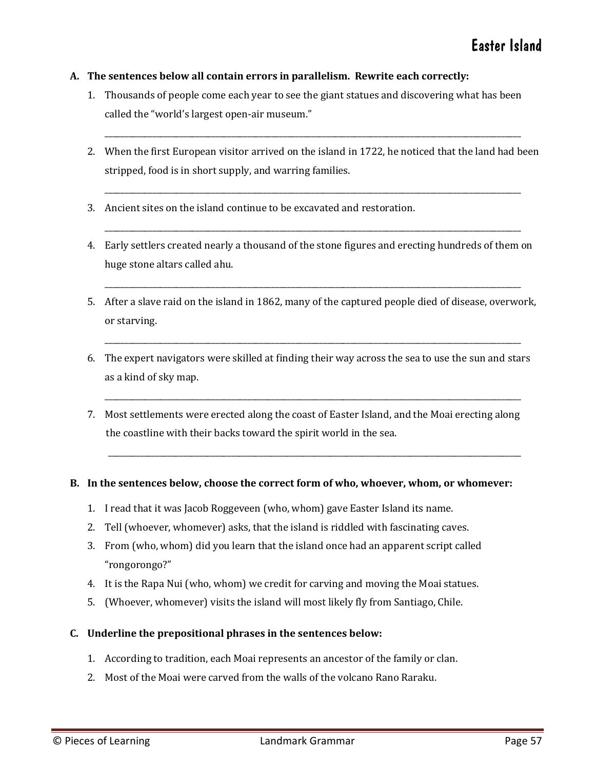#### **A. The sentences below all contain errors in parallelism. Rewrite each correctly:**

- 1. Thousands of people come each year to see the giant statues and discovering what has been called the "world's largest open-air museum."
- 2. When the first European visitor arrived on the island in 1722, he noticed that the land had been stripped, food is in short supply, and warring families.

\_\_\_\_\_\_\_\_\_\_\_\_\_\_\_\_\_\_\_\_\_\_\_\_\_\_\_\_\_\_\_\_\_\_\_\_\_\_\_\_\_\_\_\_\_\_\_\_\_\_\_\_\_\_\_\_\_\_\_\_\_\_\_\_\_\_\_\_\_\_\_\_\_\_\_\_\_\_\_\_\_\_\_\_\_\_\_\_\_\_\_\_\_\_\_\_\_\_\_\_\_\_\_\_\_

\_\_\_\_\_\_\_\_\_\_\_\_\_\_\_\_\_\_\_\_\_\_\_\_\_\_\_\_\_\_\_\_\_\_\_\_\_\_\_\_\_\_\_\_\_\_\_\_\_\_\_\_\_\_\_\_\_\_\_\_\_\_\_\_\_\_\_\_\_\_\_\_\_\_\_\_\_\_\_\_\_\_\_\_\_\_\_\_\_\_\_\_\_\_\_\_\_\_\_\_\_\_\_\_\_

\_\_\_\_\_\_\_\_\_\_\_\_\_\_\_\_\_\_\_\_\_\_\_\_\_\_\_\_\_\_\_\_\_\_\_\_\_\_\_\_\_\_\_\_\_\_\_\_\_\_\_\_\_\_\_\_\_\_\_\_\_\_\_\_\_\_\_\_\_\_\_\_\_\_\_\_\_\_\_\_\_\_\_\_\_\_\_\_\_\_\_\_\_\_\_\_\_\_\_\_\_\_\_\_\_

- 3. Ancient sites on the island continue to be excavated and restoration.
- 4. Early settlers created nearly a thousand of the stone figures and erecting hundreds of them on huge stone altars called ahu.
- 5. After a slave raid on the island in 1862, many of the captured people died of disease, overwork, or starving.

\_\_\_\_\_\_\_\_\_\_\_\_\_\_\_\_\_\_\_\_\_\_\_\_\_\_\_\_\_\_\_\_\_\_\_\_\_\_\_\_\_\_\_\_\_\_\_\_\_\_\_\_\_\_\_\_\_\_\_\_\_\_\_\_\_\_\_\_\_\_\_\_\_\_\_\_\_\_\_\_\_\_\_\_\_\_\_\_\_\_\_\_\_\_\_\_\_\_\_\_\_\_\_\_\_

\_\_\_\_\_\_\_\_\_\_\_\_\_\_\_\_\_\_\_\_\_\_\_\_\_\_\_\_\_\_\_\_\_\_\_\_\_\_\_\_\_\_\_\_\_\_\_\_\_\_\_\_\_\_\_\_\_\_\_\_\_\_\_\_\_\_\_\_\_\_\_\_\_\_\_\_\_\_\_\_\_\_\_\_\_\_\_\_\_\_\_\_\_\_\_\_\_\_\_\_\_\_\_\_\_

6. The expert navigators were skilled at finding their way across the sea to use the sun and stars as a kind of sky map.

\_\_\_\_\_\_\_\_\_\_\_\_\_\_\_\_\_\_\_\_\_\_\_\_\_\_\_\_\_\_\_\_\_\_\_\_\_\_\_\_\_\_\_\_\_\_\_\_\_\_\_\_\_\_\_\_\_\_\_\_\_\_\_\_\_\_\_\_\_\_\_\_\_\_\_\_\_\_\_\_\_\_\_\_\_\_\_\_\_\_\_\_\_\_\_\_\_\_\_\_\_\_\_\_\_

7. Most settlements were erected along the coast of Easter Island, and the Moai erecting along the coastline with their backs toward the spirit world in the sea.

\_\_\_\_\_\_\_\_\_\_\_\_\_\_\_\_\_\_\_\_\_\_\_\_\_\_\_\_\_\_\_\_\_\_\_\_\_\_\_\_\_\_\_\_\_\_\_\_\_\_\_\_\_\_\_\_\_\_\_\_\_\_\_\_\_\_\_\_\_\_\_\_\_\_\_\_\_\_\_\_\_\_\_\_\_\_\_\_\_\_\_\_\_\_\_\_\_\_\_\_\_\_\_\_

#### **B. In the sentences below, choose the correct form of who, whoever, whom, or whomever:**

- 1. I read that it was Jacob Roggeveen (who, whom) gave Easter Island its name.
- 2. Tell (whoever, whomever) asks, that the island is riddled with fascinating caves.
- 3. From (who, whom) did you learn that the island once had an apparent script called "rongorongo?"
- 4. It is the Rapa Nui (who, whom) we credit for carving and moving the Moai statues.
- 5. (Whoever, whomever) visits the island will most likely fly from Santiago, Chile.
- **C. Underline the prepositional phrases in the sentences below:**
	- 1. According to tradition, each Moai represents an ancestor of the family or clan.
	- 2. Most of the Moai were carved from the walls of the volcano Rano Raraku.